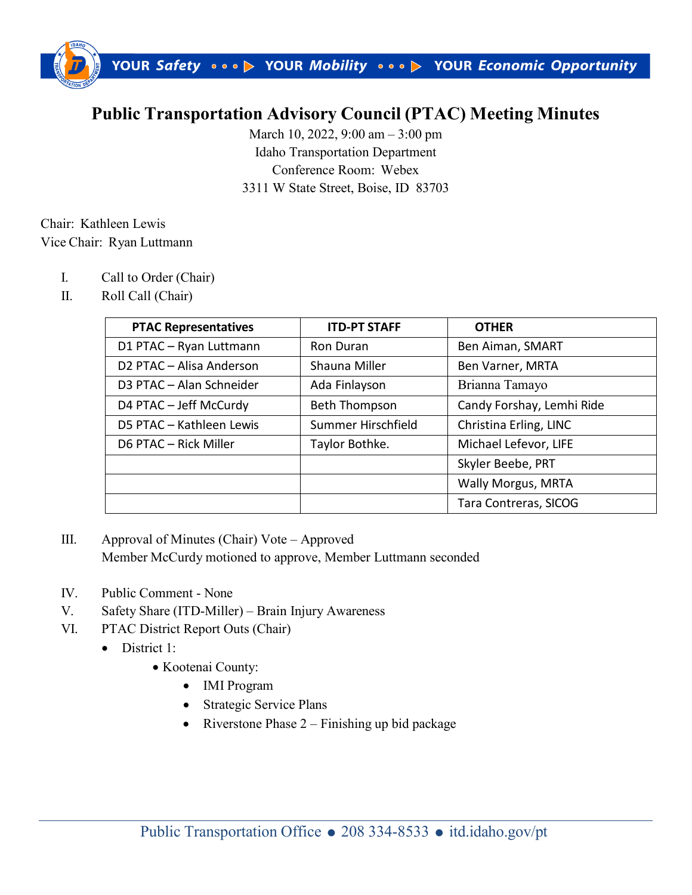

## **Public Transportation Advisory Council (PTAC) Meeting Minutes**

March 10, 2022, 9:00 am – 3:00 pm Idaho Transportation Department Conference Room: Webex 3311 W State Street, Boise, ID 83703

## Chair: Kathleen Lewis Vice Chair: Ryan Luttmann

- I. Call to Order (Chair)
- II. Roll Call (Chair)

| <b>PTAC Representatives</b> | <b>ITD-PT STAFF</b> | <b>OTHER</b>              |
|-----------------------------|---------------------|---------------------------|
| D1 PTAC - Ryan Luttmann     | Ron Duran           | Ben Aiman, SMART          |
| D2 PTAC - Alisa Anderson    | Shauna Miller       | Ben Varner, MRTA          |
| D3 PTAC - Alan Schneider    | Ada Finlayson       | Brianna Tamayo            |
| D4 PTAC - Jeff McCurdy      | Beth Thompson       | Candy Forshay, Lemhi Ride |
| D5 PTAC - Kathleen Lewis    | Summer Hirschfield  | Christina Erling, LINC    |
| D6 PTAC - Rick Miller       | Taylor Bothke.      | Michael Lefevor, LIFE     |
|                             |                     | Skyler Beebe, PRT         |
|                             |                     | <b>Wally Morgus, MRTA</b> |
|                             |                     | Tara Contreras, SICOG     |

- III. Approval of Minutes (Chair) Vote Approved Member McCurdy motioned to approve, Member Luttmann seconded
- IV. Public Comment None
- V. Safety Share (ITD-Miller) Brain Injury Awareness
- VI. PTAC District Report Outs (Chair)
	- District 1:
		- Kootenai County:
			- IMI Program
			- Strategic Service Plans
			- Riverstone Phase  $2 -$  Finishing up bid package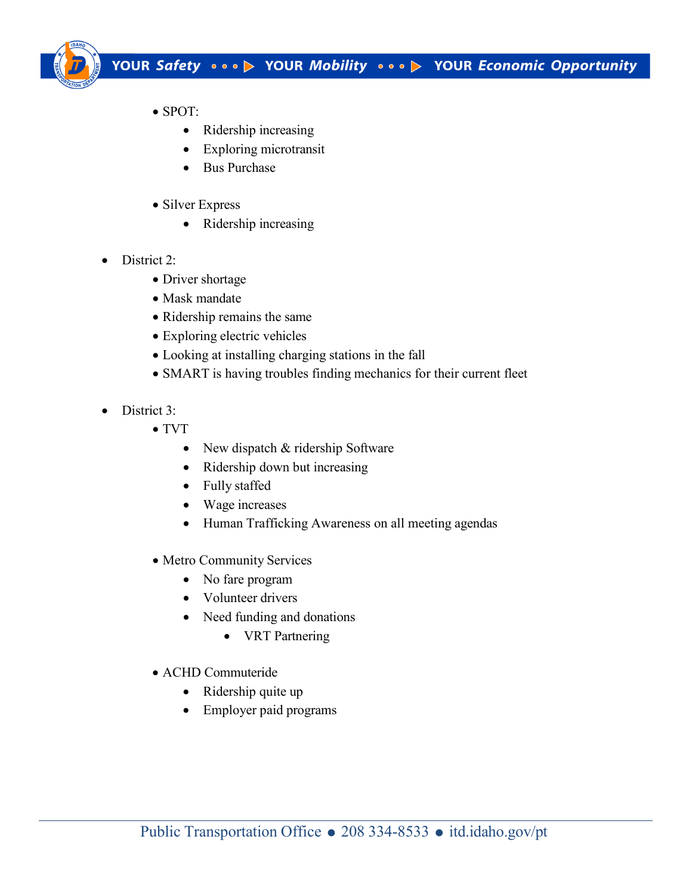

- SPOT:
	- Ridership increasing
	- Exploring microtransit
	- Bus Purchase
- Silver Express
	- Ridership increasing
- District 2:
	- Driver shortage
	- Mask mandate
	- Ridership remains the same
	- Exploring electric vehicles
	- Looking at installing charging stations in the fall
	- SMART is having troubles finding mechanics for their current fleet
- District 3:
	- TVT
		- New dispatch & ridership Software
		- Ridership down but increasing
		- Fully staffed
		- Wage increases
		- Human Trafficking Awareness on all meeting agendas
	- Metro Community Services
		- No fare program
		- Volunteer drivers
		- Need funding and donations
			- VRT Partnering
	- ACHD Commuteride
		- Ridership quite up
		- Employer paid programs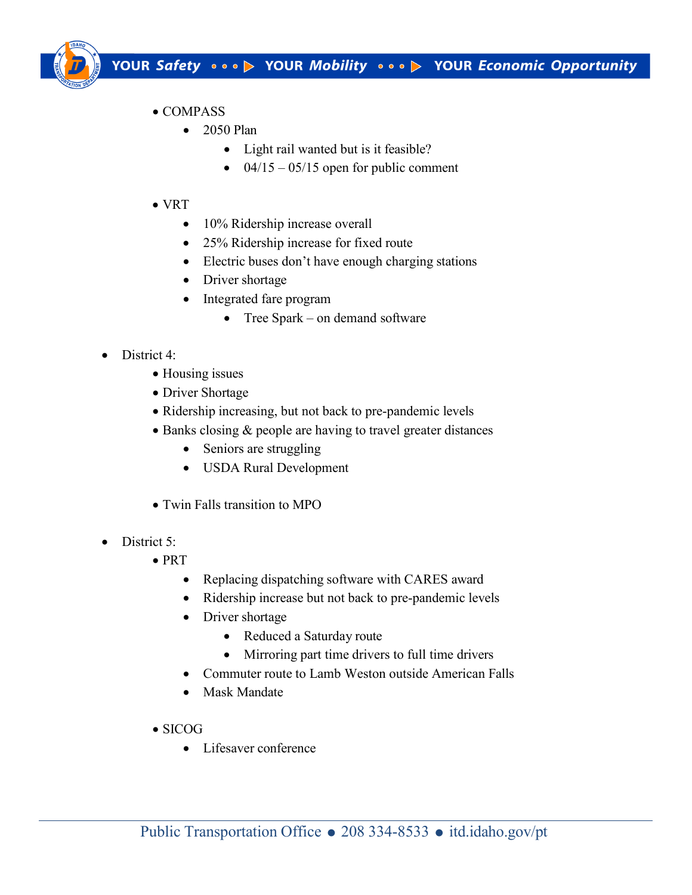

- COMPASS
	- 2050 Plan
		- Light rail wanted but is it feasible?
		- $04/15 05/15$  open for public comment
- VRT
	- 10% Ridership increase overall
	- 25% Ridership increase for fixed route
	- Electric buses don't have enough charging stations
	- Driver shortage
	- Integrated fare program
		- Tree Spark on demand software
- District 4:
	- Housing issues
	- Driver Shortage
	- Ridership increasing, but not back to pre-pandemic levels
	- Banks closing & people are having to travel greater distances
		- Seniors are struggling
		- USDA Rural Development
	- Twin Falls transition to MPO
- District 5:
	- PRT
		- Replacing dispatching software with CARES award
		- Ridership increase but not back to pre-pandemic levels
		- Driver shortage
			- Reduced a Saturday route
			- Mirroring part time drivers to full time drivers
		- Commuter route to Lamb Weston outside American Falls
		- Mask Mandate
	- SICOG
		- Lifesaver conference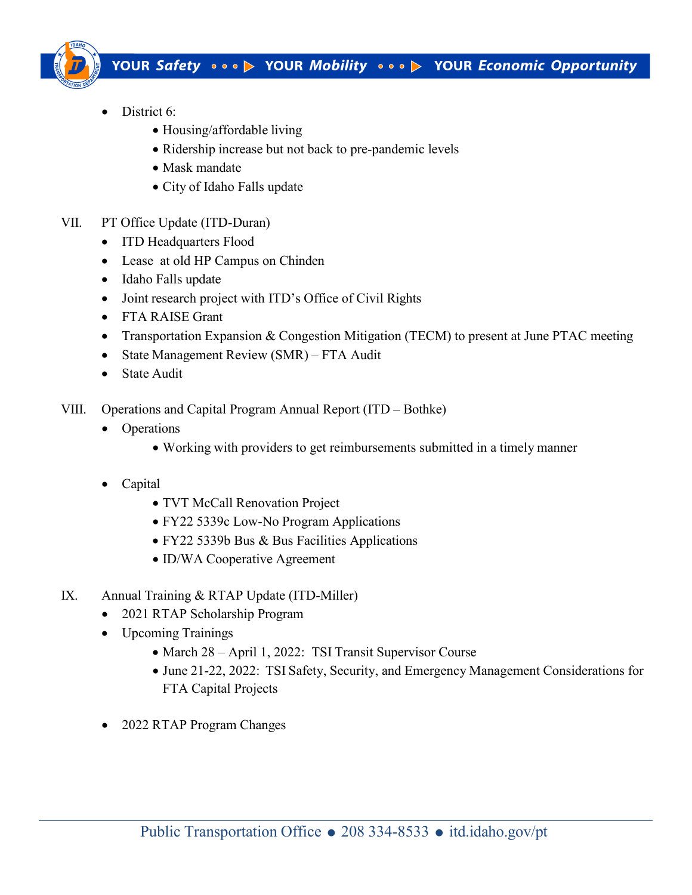

- District 6:
	- Housing/affordable living
	- Ridership increase but not back to pre-pandemic levels
	- Mask mandate
	- City of Idaho Falls update
- VII. PT Office Update (ITD-Duran)
	- ITD Headquarters Flood
	- Lease at old HP Campus on Chinden
	- Idaho Falls update
	- Joint research project with ITD's Office of Civil Rights
	- FTA RAISE Grant
	- Transportation Expansion & Congestion Mitigation (TECM) to present at June PTAC meeting
	- State Management Review (SMR) FTA Audit
	- State Audit
- VIII. Operations and Capital Program Annual Report (ITD Bothke)
	- Operations
		- Working with providers to get reimbursements submitted in a timely manner
	- Capital
		- TVT McCall Renovation Project
		- FY22 5339c Low-No Program Applications
		- FY22 5339b Bus & Bus Facilities Applications
		- ID/WA Cooperative Agreement
- IX. Annual Training & RTAP Update (ITD-Miller)
	- 2021 RTAP Scholarship Program
	- Upcoming Trainings
		- March 28 April 1, 2022: TSI Transit Supervisor Course
		- June 21-22, 2022: TSI Safety, Security, and Emergency Management Considerations for FTA Capital Projects
	- 2022 RTAP Program Changes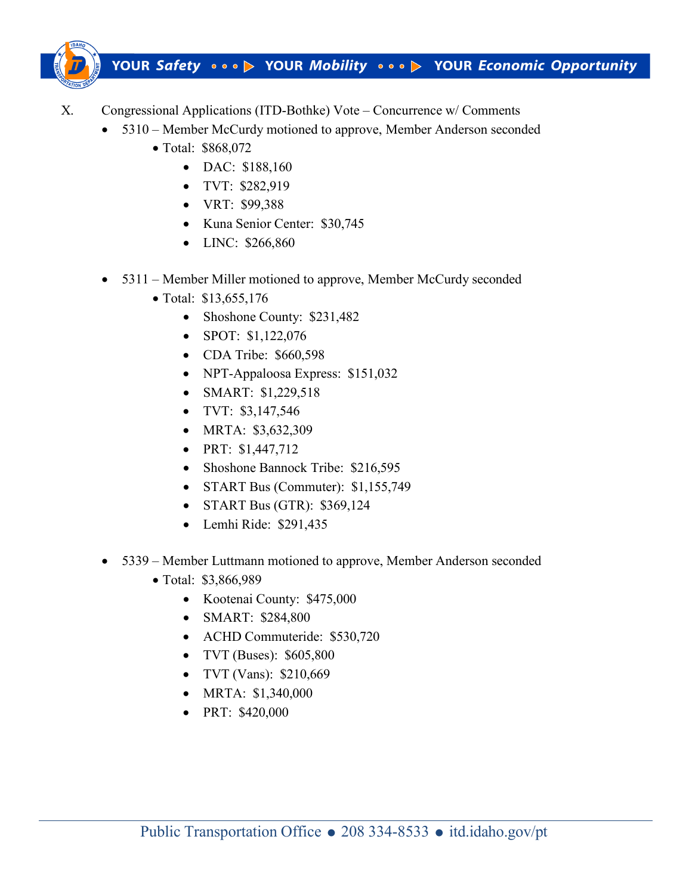

- X. Congressional Applications (ITD-Bothke) Vote Concurrence w/ Comments
	- 5310 Member McCurdy motioned to approve, Member Anderson seconded
		- Total: \$868,072
			- DAC: \$188,160
			- TVT: \$282,919
			- VRT: \$99,388
			- Kuna Senior Center: \$30,745
			- LINC: \$266,860
	- 5311 Member Miller motioned to approve, Member McCurdy seconded
		- Total: \$13,655,176
			- Shoshone County: \$231,482
			- SPOT: \$1,122,076
			- CDA Tribe: \$660,598
			- NPT-Appaloosa Express: \$151,032
			- SMART: \$1,229,518
			- TVT: \$3,147,546
			- MRTA: \$3,632,309
			- PRT: \$1,447,712
			- Shoshone Bannock Tribe: \$216,595
			- START Bus (Commuter): \$1,155,749
			- START Bus (GTR): \$369,124
			- Lemhi Ride: \$291,435
	- 5339 Member Luttmann motioned to approve, Member Anderson seconded
		- Total: \$3,866,989
			- Kootenai County: \$475,000
			- SMART: \$284,800
			- ACHD Commuteride: \$530,720
			- TVT (Buses): \$605,800
			- TVT (Vans): \$210,669
			- MRTA: \$1,340,000
			- PRT: \$420,000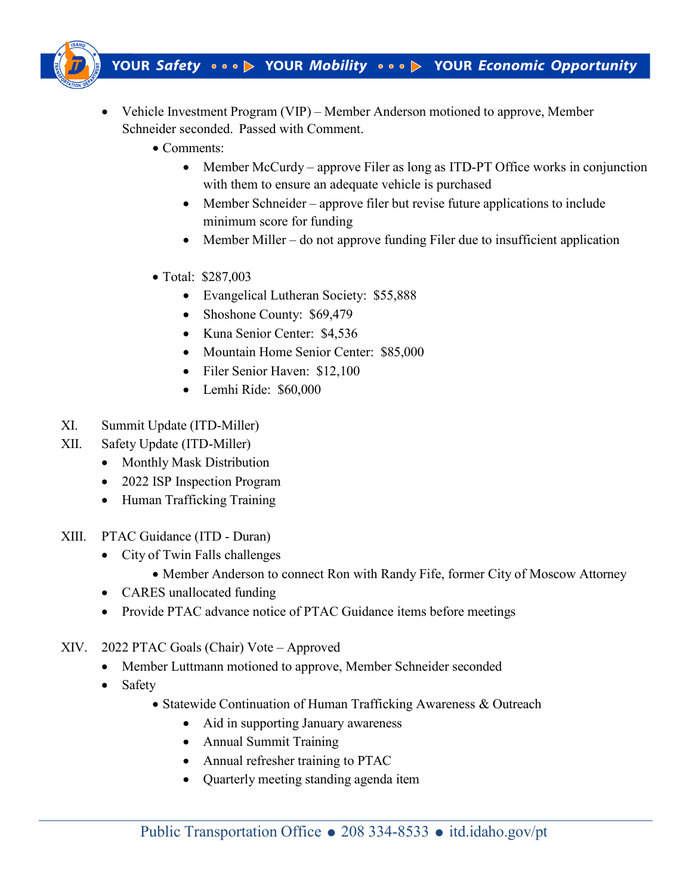

- Vehicle Investment Program (VIP) Member Anderson motioned to approve, Member Schneider seconded. Passed with Comment.
	- Comments:
		- Member McCurdy approve Filer as long as ITD-PT Office works in conjunction with them to ensure an adequate vehicle is purchased
		- Member Schneider approve filer but revise future applications to include minimum score for funding
		- Member Miller do not approve funding Filer due to insufficient application
	- Total: \$287,003
		- Evangelical Lutheran Society: \$55,888
		- Shoshone County: \$69,479
		- Kuna Senior Center: \$4,536
		- Mountain Home Senior Center: \$85,000
		- Filer Senior Haven: \$12,100
		- Lemhi Ride: \$60,000
- XI. Summit Update (ITD-Miller)
- XII. Safety Update (ITD-Miller)
	- Monthly Mask Distribution
	- 2022 ISP Inspection Program
	- Human Trafficking Training
- XIII. PTAC Guidance (ITD Duran)
	- City of Twin Falls challenges
		- Member Anderson to connect Ron with Randy Fife, former City of Moscow Attorney
	- CARES unallocated funding
	- Provide PTAC advance notice of PTAC Guidance items before meetings
- XIV. 2022 PTAC Goals (Chair) Vote Approved
	- Member Luttmann motioned to approve, Member Schneider seconded
	- Safety
		- Statewide Continuation of Human Trafficking Awareness & Outreach
			- Aid in supporting January awareness
			- Annual Summit Training
			- Annual refresher training to PTAC
			- Quarterly meeting standing agenda item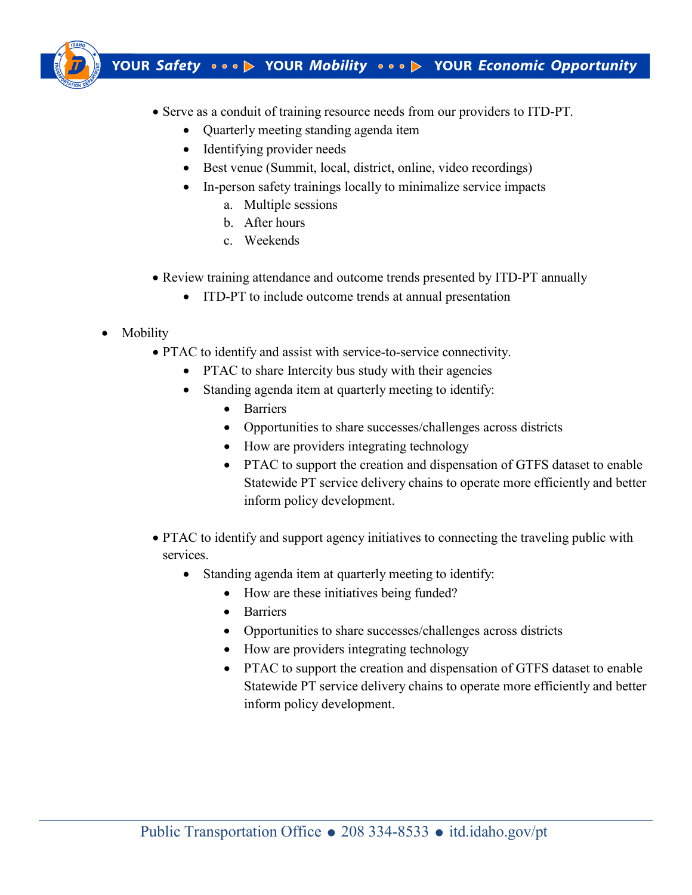

- Serve as a conduit of training resource needs from our providers to ITD-PT.
	- Quarterly meeting standing agenda item
	- Identifying provider needs
	- Best venue (Summit, local, district, online, video recordings)
	- In-person safety trainings locally to minimalize service impacts
		- a. Multiple sessions
		- b. After hours
		- c. Weekends
- Review training attendance and outcome trends presented by ITD-PT annually
	- ITD-PT to include outcome trends at annual presentation
- Mobility
	- PTAC to identify and assist with service-to-service connectivity.
		- PTAC to share Intercity bus study with their agencies
		- Standing agenda item at quarterly meeting to identify:
			- Barriers
			- Opportunities to share successes/challenges across districts
			- How are providers integrating technology
			- PTAC to support the creation and dispensation of GTFS dataset to enable Statewide PT service delivery chains to operate more efficiently and better inform policy development.
	- PTAC to identify and support agency initiatives to connecting the traveling public with services.
		- Standing agenda item at quarterly meeting to identify:
			- How are these initiatives being funded?
			- Barriers
			- Opportunities to share successes/challenges across districts
			- How are providers integrating technology
			- PTAC to support the creation and dispensation of GTFS dataset to enable Statewide PT service delivery chains to operate more efficiently and better inform policy development.